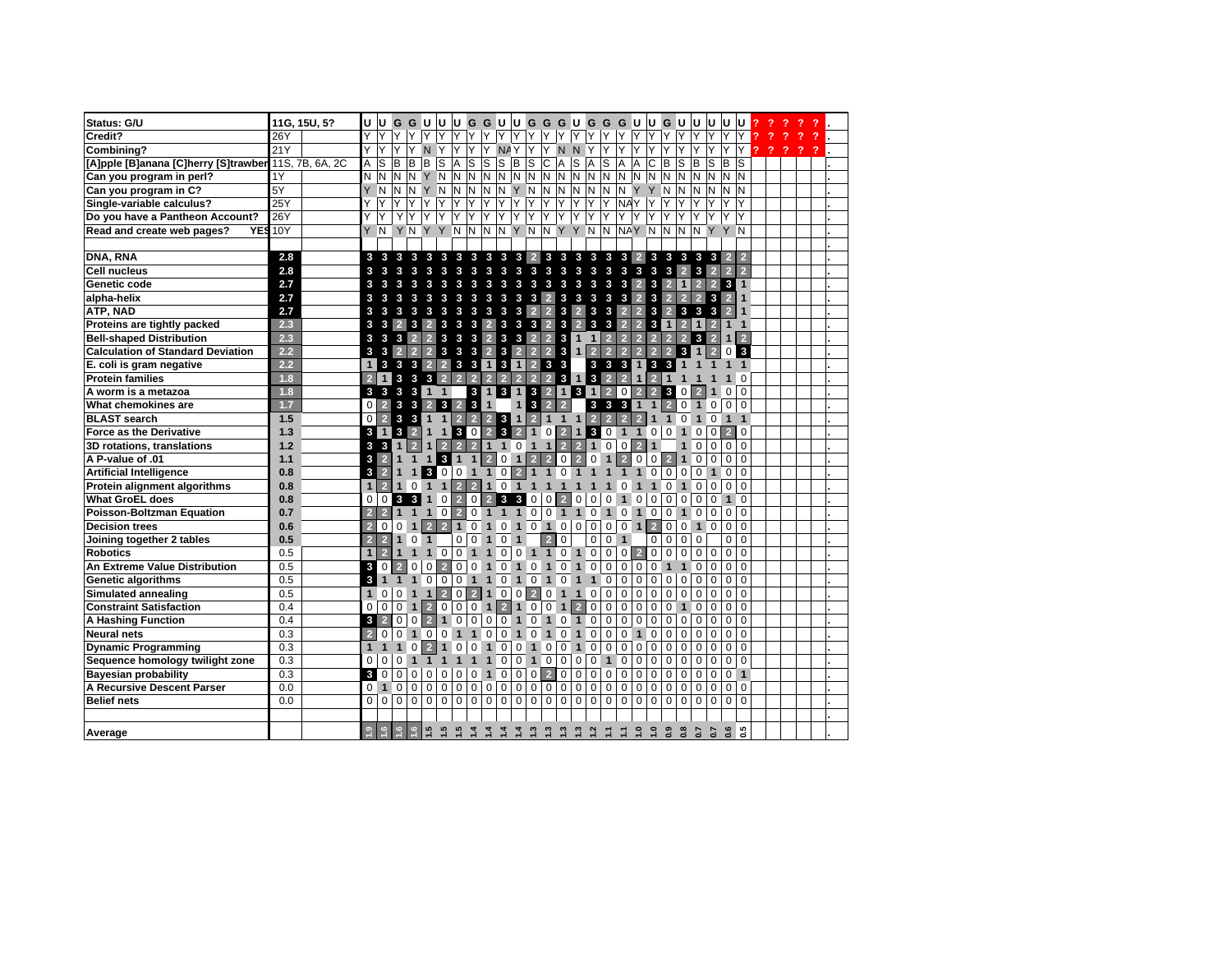| Status: G/U                              |     | 11G, 15U, 5?    | lu.            | lul                 |                         | G G U            |                                | lu u             |                                       |                         |                         |                |                |                                     |                |                   |                               | G G U U G G G U G G G U          |                | UGU            |                     |                | U.             | U              | u lu            |                |        |   |                |   |  |
|------------------------------------------|-----|-----------------|----------------|---------------------|-------------------------|------------------|--------------------------------|------------------|---------------------------------------|-------------------------|-------------------------|----------------|----------------|-------------------------------------|----------------|-------------------|-------------------------------|----------------------------------|----------------|----------------|---------------------|----------------|----------------|----------------|-----------------|----------------|--------|---|----------------|---|--|
| Credit?                                  | 26Y |                 | Y              | Y                   | Y                       | Y.               | lY.                            | Y Y              |                                       | YY                      |                         | YYY            |                | Y                                   | Y              | Y                 | YY                            | Y.                               | Y.             | Y.             | Y Y                 |                | Y              | Y              | Y               | IY.            |        |   |                |   |  |
| Combining?                               | 21Y |                 |                | Y                   | Y                       | Y<br>N           | Υ                              | Υ                | Υ                                     | Y                       | <b>NAY</b>              |                | Y              | Y                                   | N <sub>N</sub> | Y                 | Υ                             | Y                                | Y              | Y              | Υ                   | Υ              | Y              | Y              | Y               | Y              | 2<br>2 | 2 | $\overline{?}$ | 2 |  |
| [A]pple [B]anana [C]herry [S]trawber     |     | 11S, 7B, 6A, 2C | A              | S                   | lB.                     | B <sub>B</sub>   | S                              | A                | S                                     | ls                      | $S \vert B$             |                | ls.            | lc.                                 | Α              | S<br>A            | ls                            | Α                                | Α              | $\mathbf C$    | B                   | ls             | B              | S              | В               | ls             |        |   |                |   |  |
| Can you program in perl?                 | 1Y  |                 | N              | N                   | IN.                     | NY               | N.                             | N                | IN.                                   | N                       | $N$ $N$                 |                | IN.            | $\mathsf{N}$                        | N              | N.                | N N                           | N                                | N              | $\overline{N}$ | IN.                 | N              | N              | N              | $N$ $N$         |                |        |   |                |   |  |
| Can you program in C?                    | 5Y  |                 |                | Y N                 | IN.                     | N <sub>Y</sub>   |                                | N N              | IN.                                   |                         | NNYN                    |                |                | N                                   | N              | Ν                 | N N                           |                                  | N Y Y N        |                |                     | IN.            | N              | N              | N N             |                |        |   |                |   |  |
| Single-variable calculus?                | 25Y |                 |                | Y                   | Y                       |                  | Y<br>Y                         | Y                | Υ                                     | Y                       | Y                       | Y              | Y              | Y                                   | Y              | Y<br>Y            | Y                             |                                  | <b>NAY</b>     | Υ              |                     |                |                | Y              | Y               | IY.            |        |   |                |   |  |
| Do you have a Pantheon Account?          | 26Y |                 | Y              | Y                   | Y                       | Y.               | Y<br>Υ                         | Υ                | Y                                     | Υ                       | Υ                       | Υ              | Y              | Y                                   | lY.            | Y<br>Y            | Y                             | ΥI                               | Y              | Y              | Υ                   | Y              | Y              | Y              | Y               | İΥ             |        |   |                |   |  |
| <b>YES</b><br>Read and create web pages? | 10Y |                 |                |                     |                         |                  | YNYNYYN                        |                  | İΝ                                    |                         | NNYN                    |                |                | N Y Y N N                           |                |                   |                               |                                  | NAY N          |                | <b>N</b>            | <b>N</b>       | N              | Y              | Y N             |                |        |   |                |   |  |
|                                          |     |                 |                |                     |                         |                  |                                |                  |                                       |                         |                         |                |                |                                     |                |                   |                               |                                  |                |                |                     |                |                |                |                 |                |        |   |                |   |  |
| DNA, RNA                                 | 2.8 |                 |                |                     |                         |                  |                                |                  | 3 3 3 3 3 3 3 3 3 3 3 2 3 3 3 3 3 3 2 |                         |                         |                |                |                                     |                |                   |                               |                                  |                |                |                     |                |                | 3 3 3 3 3 2    |                 |                |        |   |                |   |  |
| <b>Cell nucleus</b>                      | 2.8 |                 | 3              | 3 <sub>3</sub>      |                         | 3                | 3 <sub>3</sub>                 |                  | 3 3 3 3 3 3 3                         |                         |                         |                |                |                                     |                | 3 3 3             | $\mathbf{3}$                  | €                                | $\mathbf{3}$   | $\mathbf{3}$   | Ø.                  | $\overline{2}$ | 3              | 2 <sup>1</sup> | 2 <sup>1</sup>  | $\overline{2}$ |        |   |                |   |  |
| Genetic code                             | 2.7 |                 | 3              | 3                   | $\mathbf{3}$            | 3                | 3                              | 3                | $\mathbf{3}$<br>3                     | 3                       | $\mathbf{3}$            | $\mathbf{3}$   | $\mathbf{3}$   | 3                                   | $\mathbf{3}$   | 3                 | 3<br>3                        | $\mathbf{3}$                     | $\overline{2}$ | 3              | $\overline{2}$      | 1              | $\overline{2}$ | 2 <sup>1</sup> | 311             |                |        |   |                |   |  |
| alpha-helix                              | 2.7 |                 | 3              | $\mathbf{3}$        | 3                       | 3                | €<br>3                         |                  | 3<br>3                                | $\overline{\mathbf{3}}$ | 3                       | $\bullet$      | 3              | $\overline{2}$                      | $\mathbf{3}$   | 3                 | 3<br>$\mathbf{3}$             | $\mathbf{3}$                     | $\overline{2}$ | 3              |                     |                | 2 <sup>1</sup> | 3              | 2 <sup>1</sup>  | $\mathbf 1$    |        |   |                |   |  |
| ATP, NAD                                 | 2.7 |                 | 3              | 3                   | $\mathbf{3}$            | $\mathbf{3}$     | 3<br>3                         |                  | $\mathbf{3}$<br>$\mathbf{3}$          | $\overline{\mathbf{3}}$ | $\overline{\mathbf{3}}$ | $\bullet$      | $\overline{2}$ | $\overline{2}$                      | 3              | 2 <sup>1</sup>    | 3 <sub>3</sub>                | $\overline{2}$                   | 2 <sup>1</sup> | $\mathbf{3}$   | $\overline{2}$      | $\mathbf{3}$   | $\mathbf{3}$   | 3              | 2 <sup>1</sup>  |                |        |   |                |   |  |
| Proteins are tightly packed              | 2.3 |                 |                | $3 \quad 3 \quad 2$ |                         | 3 <sup>1</sup>   | $\overline{2}$                 | 3 <sub>3</sub>   |                                       | $3 \mid 2 \mid$         |                         |                |                | 3 3 3 2 3 2                         |                |                   | 3 <sub>3</sub>                | $\overline{2}$                   | 2 <sup>1</sup> | 3 <sup>1</sup> | 1                   | $\overline{2}$ |                |                | 1 <sub>1</sub>  |                |        |   |                |   |  |
| <b>Bell-shaped Distribution</b>          | 2.3 |                 | 3              | $\mathbf{3}$        | $\mathbf{3}$            | $\overline{2}$   | 2 <sup>2</sup>                 | $\mathbf{3}$     | $3 \quad 3 \quad 2$                   |                         |                         |                |                | $3 \quad 3 \quad 2 \quad 2 \quad 3$ |                | 1                 | $\mathbf{1}$                  | 2 2                              | $\overline{2}$ | $\overline{2}$ | $\overline{2}$      | $\overline{2}$ | 3 <sup>1</sup> |                | $1\overline{2}$ |                |        |   |                |   |  |
| <b>Calculation of Standard Deviation</b> | 2.2 |                 | $\mathbf{3}$   | $3 \vert 2 \vert$   |                         | $\overline{2}$   |                                |                  | 2 3 3 3 2 3 2 2 2 3 1                 |                         |                         |                |                |                                     |                |                   | $\overline{2}$                | $\overline{2}$<br>$\overline{2}$ | $\overline{2}$ | $\overline{2}$ | $\overline{2}$      | 3 <sup>1</sup> | $\mathbf 1$    | $\overline{2}$ |                 | 0 <sup>3</sup> |        |   |                |   |  |
| E. coli is gram negative                 | 2.2 |                 | $\mathbf{1}$   | 3                   | $\mathbf{3}$            | $\mathbf{3}$     | $\overline{2}$                 |                  | 2 3 3 1 3 1 2 3 3                     |                         |                         |                |                |                                     |                |                   | 3 <sub>3</sub>                | $\mathbf{3}$                     | 1              | $\mathbf{3}$   | 3                   |                |                |                |                 | $\overline{1}$ |        |   |                |   |  |
| <b>Protein families</b>                  | 1.8 |                 |                | $2 \mid 1$          | 3                       | €                | $\mathbf{3}$                   | $\overline{2}$   | 2 <sup>1</sup><br>$\overline{2}$      |                         | 2 2                     | 2 2            |                | $231$                               |                |                   |                               | $3 \quad 2 \quad 2$              | $\mathbf{1}$   | 2 <sup>1</sup> | $\mathbf{1}$        |                |                |                |                 | $\Omega$       |        |   |                |   |  |
| A worm is a metazoa                      | 1.8 |                 |                |                     | $3 \t3 \t3 \t3$         |                  | $1\quad1$                      |                  |                                       |                         | 3 1 3 1 3 2 1 3         |                |                |                                     |                |                   | $\mathbf{1}$                  | $\overline{2}$<br>$\mathbf 0$    | $\overline{2}$ | $\overline{2}$ | 3 <sup>1</sup>      | $\mathbf 0$    |                |                | 0 <sup>0</sup>  |                |        |   |                |   |  |
| What chemokines are                      | 1.7 |                 |                | $0\vert 2 \vert$    | 3 <sub>3</sub>          |                  | 23                             |                  | $2 \quad 3 \quad 1$                   |                         |                         | $\mathbf{1}$   | $\vert$ 3      | $\overline{2}$                      | $\overline{2}$ |                   | 3 <sub>3</sub>                | $\mathbf{3}$                     | $\mathbf{1}$   | $\mathbf{1}$   | $\overline{2}$      | $\mathbf 0$    | $\mathbf{1}$   | $\overline{0}$ | 0 <sup>0</sup>  |                |        |   |                |   |  |
| <b>BLAST</b> search                      | 1.5 |                 | $\overline{0}$ |                     | $2 \quad 3 \quad 3$     |                  | $1 1 21$                       |                  |                                       |                         | $2$ 2 3 1 2 1 1 1 2     |                |                |                                     |                |                   |                               | $\overline{2}$<br>$\overline{2}$ | $\overline{2}$ | $\mathbf{1}$   | $\ddot{\textbf{1}}$ | 0              | $\mathbf{1}$   | 0              | $1\quad1$       |                |        |   |                |   |  |
| <b>Force as the Derivative</b>           | 1.3 |                 |                | 31                  | $\overline{\mathbf{3}}$ | $\vert$ 2        | 4                              | $\mathbf{1}$     | 30                                    | 2 <sup>1</sup>          | $\mathbf{3}$            | $\vert$ 2      | $\mathbf{1}$   | $\mathbf 0$                         | $\bullet$      | $\mathbf{1}$      | $\mathbf{3}$                  | $\mathbf 0$<br>$\mathbf{1}$      | 1              | $\mathbf 0$    | $\mathbf 0$         | $\mathbf{1}$   | $\overline{0}$ | 0              | 2 <sup>1</sup>  | $\mathbf 0$    |        |   |                |   |  |
| 3D rotations, translations               | 1.2 |                 | 3              | 31                  |                         | $\overline{2}$   | $1 \mid 2 \mid 2 \mid$         |                  |                                       |                         | $2$ 1 1 0               |                | $\overline{1}$ | $\mathbf{1}$                        | 2 <sup>1</sup> | 2 <sup>1</sup>    | $\mathbf{1}$                  | $\mathsf 0$<br>$\mathbf 0$       | $\overline{2}$ | $\mathbf{1}$   |                     |                | $\Omega$       | 0              | 0 0             |                |        |   |                |   |  |
| A P-value of .01                         | 1.1 |                 |                | $3 \mid 2 \mid$     |                         |                  | 1 1 1 3                        |                  | $\mathbf{1}$<br>$\mathbf{J}$          | $\overline{2}$          |                         | $0 \t1 \t2$    |                | $\overline{2}$                      | $\overline{0}$ | $\vert$ 2         | $\mathbf 0$                   | $\overline{2}$<br>$\mathbf{1}$   | $\mathbf 0$    |                | $0\vert 2$          | $\mathbf{1}$   | $\mathbf 0$    | $\mathbf 0$    | 0 <sub>0</sub>  |                |        |   |                |   |  |
| <b>Artificial Intelligence</b>           | 0.8 |                 | 3              | $2 1$               |                         | 1                | 30                             |                  | $\mathbf{1}$<br>0 <sup>1</sup>        |                         | $102$                   |                | 1              | $\mathbf{1}$                        | $\mathbf 0$    | $\mathbf{1}$      | $\mathbf{1}$                  | $\mathbf{1}$                     | 1              | $\mathbf 0$    | $\mathbf{0}$        | $\mathbf 0$    | $\mathbf 0$    |                | 0 <sup>0</sup>  |                |        |   |                |   |  |
| Protein alignment algorithms             | 0.8 |                 | $\mathbf{1}$   |                     | 2 1                     |                  | $0$ 1 1                        |                  | 2 <sup>1</sup><br>2 <sup>1</sup>      |                         | 1011                    |                |                | $\mathbf{1}$                        | $\mathbf{1}$   | 1                 |                               | 0                                | $\mathbf{1}$   | $\mathbf{1}$   |                     | 0 <sub>1</sub> | $\mathbf 0$    | 0              | 0 <sub>0</sub>  |                |        |   |                |   |  |
| <b>What GroEL does</b>                   | 0.8 |                 | $\mathbf 0$    | $\mathbf{0}$        | $3 \quad 3 \quad$       |                  | 1                              | $0\vert 2 \vert$ | $\circ$                               | 2 <sup>1</sup>          | $\bullet$               | 3 0 0          |                |                                     | $\overline{2}$ | $\mathbf 0$       | $\mathbf 0$                   | 0<br>$\mathbf{1}$                | $\mathbf{0}$   | $\mathbf 0$    | $\mathbf 0$         | $\mathbf 0$    | $\mathbf 0$    | $\mathbf 0$    | $1\overline{0}$ |                |        |   |                |   |  |
| Poisson-Boltzman Equation                | 0.7 |                 | $\overline{2}$ | $\overline{2}$      | $\mathbf{1}$            | $\mathbf{1}$     | $\mathbf{1}$                   | $0\vert 2$       |                                       |                         | $0$ 1 1 1               |                | $\mathbf 0$    | $\mathbf 0$                         | $1\quad1$      |                   | $\mathbf 0$                   | $\mathbf 0$<br>$\mathbf{1}$      | $\mathbf{1}$   | $\mathbf 0$    | $\mathbf 0$         | $\overline{1}$ | $\mathbf 0$    | $\mathsf 0$    | 0 <sub>0</sub>  |                |        |   |                |   |  |
| <b>Decision trees</b>                    | 0.6 |                 | $\overline{2}$ | $\mathbf 0$         | $\mathbf 0$             | $\mathbf{1}$     | 2 <sup>1</sup>                 | 2 <sup>1</sup>   | 1 0 1 0 1 0 1 0                       |                         |                         |                |                |                                     |                | $\overline{0}$    | $\mathbf 0$                   | 0<br>0                           | $\mathbf{1}$   | $\overline{2}$ | $\mathbf 0$         | $\mathbf 0$    | 1              | $\Omega$       | 0 <sub>0</sub>  |                |        |   |                |   |  |
| Joining together 2 tables                | 0.5 |                 | $\overline{2}$ | $\overline{2}$      | 1                       | 0 <sub>1</sub>   |                                |                  | $\pmb{0}$<br>0                        | $\mathbf{1}$            | $\overline{0}$          | $\mathbf{1}$   |                | 2 <sup>1</sup>                      | $\pmb{0}$      |                   | 0                             | 0<br>$\overline{1}$              |                | 0              | $\mathbf 0$         | $\mathbf 0$    | $\mathbf 0$    |                | $\overline{0}$  | $\mathbf 0$    |        |   |                |   |  |
| <b>Robotics</b>                          | 0.5 |                 | $\mathbf{1}$   | $\overline{2}$      | $\mathbf{1}$            | $\mathbf{1}$     | $\mathbf{1}$                   | $\mathbf 0$      | $\mathbf 0$<br>$\mathbf{1}$           | $\mathbf{1}$            | $\mathbf 0$             | 0 <sub>1</sub> |                | $\mathbf{1}$                        |                | $0 \mid 1 \mid 0$ |                               | $\mathbf 0$                      | $0\vert 2$     | $\mathsf 0$    | $\mathbf 0$         | $\mathsf 0$    | $\mathbf 0$    | 0              | 0 <sup>0</sup>  |                |        |   |                |   |  |
| An Extreme Value Distribution            | 0.5 |                 | 3              | 0                   | $\overline{2}$          | $\mathbf{0}$     | $\mathbf 0$                    | $\overline{2}$   | $\mathbf 0$<br>$\mathsf 0$            | $\mathbf{1}$            | $\overline{0}$          | $1 \vert 0$    |                | $\mathbf{1}$                        | $\mathbf 0$    | $\mathbf{1}$      | $\mathbf 0$                   | $\mathbf 0$<br>$\mathsf 0$       | $\mathbf 0$    | $\mathbf 0$    | $\mathbf{1}$        | $\overline{1}$ | $\mathbf 0$    | $\mathbf 0$    | 0 0             |                |        |   |                |   |  |
| <b>Genetic algorithms</b>                | 0.5 |                 | 3              | $\mathbf{1}$        | $\mathbf{1}$            |                  | $\mathbf 0$                    | $\mathbf{0}$     | $\mathbf 0$<br>$\mathbf{1}$           | $\mathbf{1}$            |                         | $0$ 1 0        |                | $\mathbf{1}$                        | $\mathbf 0$    | $\mathbf{1}$      | $\mathbf{1}$                  | $\mathbf 0$<br>$\mathbf 0$       | $\mathbf 0$    | $\mathbf 0$    | $\mathbf{0}$        | $\mathbf 0$    | $\mathbf 0$    | $\mathbf 0$    | $\overline{0}$  | $\mathbf 0$    |        |   |                |   |  |
| Simulated annealing                      | 0.5 |                 | $\mathbf{1}$   | $\mathbf 0$         | $\mathbf{0}$            | $1 \quad 1$      | $\vert$ 2                      |                  | $\mathbf{0}$<br>$\vert$ 2             | $\overline{1}$          | 0                       | $0\vert 2$     |                | $\mathbf 0$                         |                | 1 1 0             | $\mathbf 0$                   | $\pmb{0}$                        | $\mathbf 0$    | $\mathbf 0$    | $\mathbf 0$         | $\mathbf 0$    | $\mathbf 0$    | $\mathbf 0$    | $\overline{0}$  | $\Omega$       |        |   |                |   |  |
| <b>Constraint Satisfaction</b>           | 0.4 |                 | $\mathbf 0$    | $\mathbf 0$         | $\mathbf 0$             | $\mathbf{1}$     | $\overline{2}$                 | $\overline{0}$   | $\mathbf 0$                           | 0 <sub>1</sub>          | 2                       | 1              | $\mathbf 0$    | 0                                   | $\mathbf{1}$   | 2 <sup>1</sup>    | $\mathsf 0$                   | $\mathsf 0$<br>$\mathbf 0$       | $\mathbf 0$    | $\mathbf 0$    | $\mathbf 0$         | $\overline{1}$ | $\mathbf 0$    | $\mathbf 0$    | $\mathbf 0$     | $\mathbf 0$    |        |   |                |   |  |
| <b>A Hashing Function</b>                | 0.4 |                 |                | $3 \quad 2$         | $\mathsf 0$             | $0\vert 2 \vert$ |                                | 1                | $\mathbf 0$<br>$\mathsf{O}\xspace$    | 0                       |                         | 0 <sub>1</sub> | 0 <sub>1</sub> |                                     | $0$ 1          |                   | $\mathsf 0$                   | 0<br>$\pmb{0}$                   | $\mathsf 0$    | $\mathbf 0$    | $\mathbf 0$         | 0              | 0              | 0              | 0 <sub>0</sub>  |                |        |   |                |   |  |
| <b>Neural nets</b>                       | 0.3 |                 | $\overline{2}$ | 0                   | $\mathbf 0$             | 1                | $\mathbf 0$                    | $\mathbf 0$      | $\mathbf{1}$<br>1                     | $\overline{0}$          | 0 <sub>1</sub>          |                | $\mathsf 0$    | $\mathbf{1}$                        | $\mathbf 0$    | $\mathbf{1}$      | $\overline{0}$<br>$\mathbf 0$ | $\overline{0}$                   | 1              | $\overline{0}$ | $\mathbf 0$         | $\mathbf 0$    | $\mathbf{0}$   | $\mathsf 0$    | 0 <sup>0</sup>  |                |        |   |                |   |  |
| <b>Dynamic Programming</b>               | 0.3 |                 |                | 1 <sub>1</sub>      | 1                       | $\mathbf 0$      | $\overline{2}$<br>$\mathbf{1}$ |                  | $\pmb{0}$<br>$\mathbf 0$              | 1                       | $\mathsf{O}\xspace$     | $\mathbf 0$    | $\overline{1}$ | $\mathbf 0$                         | $\mathsf 0$    | $\mathbf{1}$      | 0                             | 0<br>$\mathbf 0$                 | $\overline{0}$ | $\mathbf 0$    | $\Omega$            | $\mathbf 0$    | $\Omega$       | $\mathbf 0$    | $\mathbf{0}$    | $\Omega$       |        |   |                |   |  |
| Sequence homology twilight zone          | 0.3 |                 | $\mathbf 0$    | $\mathbf 0$         | $\mathbf 0$             | $\mathbf{1}$     | $\mathbf{1}$<br>$\mathbf{1}$   |                  | 1<br>$\mathbf{1}$                     | 1                       | $\mathbf 0$             | $\mathbf 0$    | $\mathbf{1}$   | $\pmb{0}$                           | $\pmb{0}$      | $\mathsf 0$       | $\mathsf{O}\xspace$           | $\pmb{0}$<br>$\mathbf{1}$        | $\mathsf 0$    | $\mathsf 0$    | $\pmb{0}$           | $\mathbf 0$    | $\mathbf 0$    | $\mathbf 0$    | $\mathbf 0$     | $\mathbf 0$    |        |   |                |   |  |
| <b>Bayesian probability</b>              | 0.3 |                 | 3              | $\overline{0}$      | $\mathbf 0$             | $\Omega$         | $\mathbf 0$                    | $\mathbf 0$      | $\mathbf 0$<br>$\mathbf 0$            | $\mathbf{1}$            | $\mathbf 0$             | $\mathbf 0$    | $\mathbf 0$    | $\overline{2}$                      | $\pmb{0}$      | $\mathbf 0$       | 0                             | $\mathbf 0$<br>$\mathbf 0$       | $\mathbf 0$    | $\mathbf 0$    | $\mathbf 0$         | $\mathbf 0$    | $\Omega$       | $\Omega$       | 0 <sub>1</sub>  |                |        |   |                |   |  |
| A Recursive Descent Parser               | 0.0 |                 |                | 0 <sub>1</sub>      | $\Omega$                | $\mathbf 0$      | $\mathbf 0$                    | $\mathbf 0$      | $\mathsf 0$<br>0                      | 0                       | $\mathbf 0$             | $\mathbf 0$    | $\pmb{0}$      | $\mathbf 0$                         | $\pmb{0}$      | $\pmb{0}$         | $\mathsf 0$                   | $\pmb{0}$<br>$\pmb{0}$           | $\pmb{0}$      | $\mathsf 0$    | $\mathbf 0$         | $\mathbf 0$    | $\mathbf 0$    | $\mathbf 0$    | $\overline{0}$  | $\mathbf 0$    |        |   |                |   |  |
| <b>Belief nets</b>                       | 0.0 |                 | $\mathbf{0}$   | $\mathbf 0$         | $\overline{0}$          | $\overline{0}$   | $\overline{0}$                 | $\overline{0}$   | $\overline{0}$<br>$\mathbf 0$         | $\overline{\mathbf{0}}$ | $\overline{0}$          | $\overline{0}$ | $\mathbf 0$    | $\pmb{0}$                           | $\overline{0}$ | $\mathbf 0$       | $\mathsf 0$                   | $\pmb{0}$<br>0                   | $\overline{0}$ | $\overline{0}$ | $\mathbf 0$         | $\mathbf 0$    | $\mathbf 0$    | $\mathbf{0}$   | 0 <sub>0</sub>  |                |        |   |                |   |  |
|                                          |     |                 |                |                     |                         |                  |                                |                  |                                       |                         |                         |                |                |                                     |                |                   |                               |                                  |                |                |                     |                |                |                |                 |                |        |   |                |   |  |
|                                          |     |                 |                | $\frac{1}{2}$       | $\frac{1}{2}$           | $\overline{6}$   |                                |                  |                                       |                         |                         |                |                |                                     |                |                   |                               |                                  |                |                |                     |                |                |                |                 |                |        |   |                |   |  |
| Average                                  |     |                 | $\overline{a}$ |                     |                         |                  |                                |                  | 122211111222222122223887785           |                         |                         |                |                |                                     |                |                   |                               |                                  |                |                |                     |                |                |                |                 |                |        |   |                |   |  |